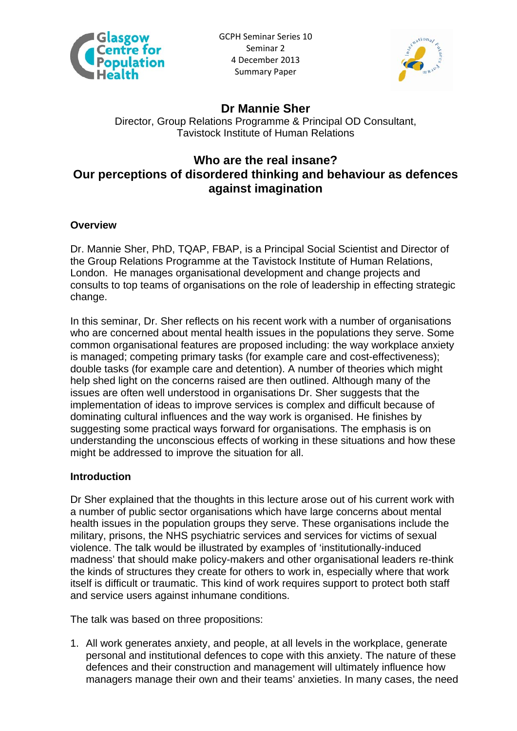



# **Dr Mannie Sher**

Director, Group Relations Programme & Principal OD Consultant, Tavistock Institute of Human Relations

# **Who are the real insane? Our perceptions of disordered thinking and behaviour as defences against imagination**

## **Overview**

Dr. Mannie Sher, PhD, TQAP, FBAP, is a Principal Social Scientist and Director of the Group Relations Programme at the Tavistock Institute of Human Relations, London. He manages organisational development and change projects and consults to top teams of organisations on the role of leadership in effecting strategic change.

In this seminar, Dr. Sher reflects on his recent work with a number of organisations who are concerned about mental health issues in the populations they serve. Some common organisational features are proposed including: the way workplace anxiety is managed; competing primary tasks (for example care and cost-effectiveness); double tasks (for example care and detention). A number of theories which might help shed light on the concerns raised are then outlined. Although many of the issues are often well understood in organisations Dr. Sher suggests that the implementation of ideas to improve services is complex and difficult because of dominating cultural influences and the way work is organised. He finishes by suggesting some practical ways forward for organisations. The emphasis is on understanding the unconscious effects of working in these situations and how these might be addressed to improve the situation for all.

#### **Introduction**

Dr Sher explained that the thoughts in this lecture arose out of his current work with a number of public sector organisations which have large concerns about mental health issues in the population groups they serve. These organisations include the military, prisons, the NHS psychiatric services and services for victims of sexual violence. The talk would be illustrated by examples of 'institutionally-induced madness' that should make policy-makers and other organisational leaders re-think the kinds of structures they create for others to work in, especially where that work itself is difficult or traumatic. This kind of work requires support to protect both staff and service users against inhumane conditions.

The talk was based on three propositions:

1. All work generates anxiety, and people, at all levels in the workplace, generate personal and institutional defences to cope with this anxiety. The nature of these defences and their construction and management will ultimately influence how managers manage their own and their teams' anxieties. In many cases, the need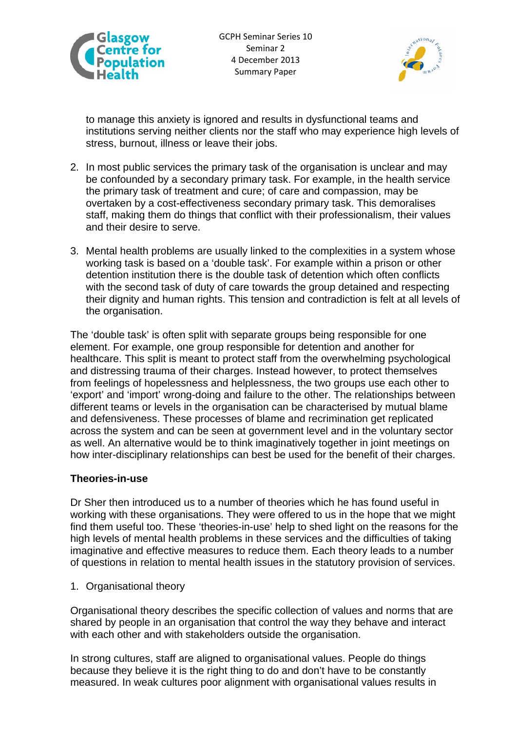



to manage this anxiety is ignored and results in dysfunctional teams and institutions serving neither clients nor the staff who may experience high levels of stress, burnout, illness or leave their jobs.

- 2. In most public services the primary task of the organisation is unclear and may be confounded by a secondary primary task. For example, in the health service the primary task of treatment and cure; of care and compassion, may be overtaken by a cost-effectiveness secondary primary task. This demoralises staff, making them do things that conflict with their professionalism, their values and their desire to serve.
- 3. Mental health problems are usually linked to the complexities in a system whose working task is based on a 'double task'. For example within a prison or other detention institution there is the double task of detention which often conflicts with the second task of duty of care towards the group detained and respecting their dignity and human rights. This tension and contradiction is felt at all levels of the organisation.

The 'double task' is often split with separate groups being responsible for one element. For example, one group responsible for detention and another for healthcare. This split is meant to protect staff from the overwhelming psychological and distressing trauma of their charges. Instead however, to protect themselves from feelings of hopelessness and helplessness, the two groups use each other to 'export' and 'import' wrong-doing and failure to the other. The relationships between different teams or levels in the organisation can be characterised by mutual blame and defensiveness. These processes of blame and recrimination get replicated across the system and can be seen at government level and in the voluntary sector as well. An alternative would be to think imaginatively together in joint meetings on how inter-disciplinary relationships can best be used for the benefit of their charges.

#### **Theories-in-use**

Dr Sher then introduced us to a number of theories which he has found useful in working with these organisations. They were offered to us in the hope that we might find them useful too. These 'theories-in-use' help to shed light on the reasons for the high levels of mental health problems in these services and the difficulties of taking imaginative and effective measures to reduce them. Each theory leads to a number of questions in relation to mental health issues in the statutory provision of services.

1. Organisational theory

Organisational theory describes the specific collection of values and norms that are shared by people in an organisation that control the way they behave and interact with each other and with stakeholders outside the organisation.

In strong cultures, staff are aligned to organisational values. People do things because they believe it is the right thing to do and don't have to be constantly measured. In weak cultures poor alignment with organisational values results in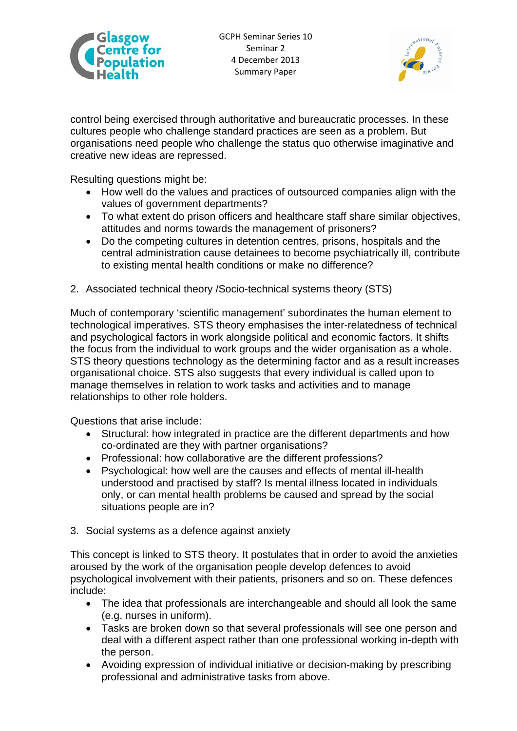



control being exercised through authoritative and bureaucratic processes. In these cultures people who challenge standard practices are seen as a problem. But organisations need people who challenge the status quo otherwise imaginative and creative new ideas are repressed.

Resulting questions might be:

- How well do the values and practices of outsourced companies align with the values of government departments?
- To what extent do prison officers and healthcare staff share similar objectives, attitudes and norms towards the management of prisoners?
- Do the competing cultures in detention centres, prisons, hospitals and the central administration cause detainees to become psychiatrically ill, contribute to existing mental health conditions or make no difference?
- 2. Associated technical theory /Socio-technical systems theory (STS)

Much of contemporary 'scientific management' subordinates the human element to technological imperatives. STS theory emphasises the inter-relatedness of technical and psychological factors in work alongside political and economic factors. It shifts the focus from the individual to work groups and the wider organisation as a whole. STS theory questions technology as the determining factor and as a result increases organisational choice. STS also suggests that every individual is called upon to manage themselves in relation to work tasks and activities and to manage relationships to other role holders.

Questions that arise include:

- Structural: how integrated in practice are the different departments and how co-ordinated are they with partner organisations?
- Professional: how collaborative are the different professions?
- Psychological: how well are the causes and effects of mental ill-health understood and practised by staff? Is mental illness located in individuals only, or can mental health problems be caused and spread by the social situations people are in?
- 3. Social systems as a defence against anxiety

This concept is linked to STS theory. It postulates that in order to avoid the anxieties aroused by the work of the organisation people develop defences to avoid psychological involvement with their patients, prisoners and so on. These defences include:

- The idea that professionals are interchangeable and should all look the same (e.g. nurses in uniform).
- Tasks are broken down so that several professionals will see one person and deal with a different aspect rather than one professional working in-depth with the person.
- Avoiding expression of individual initiative or decision-making by prescribing professional and administrative tasks from above.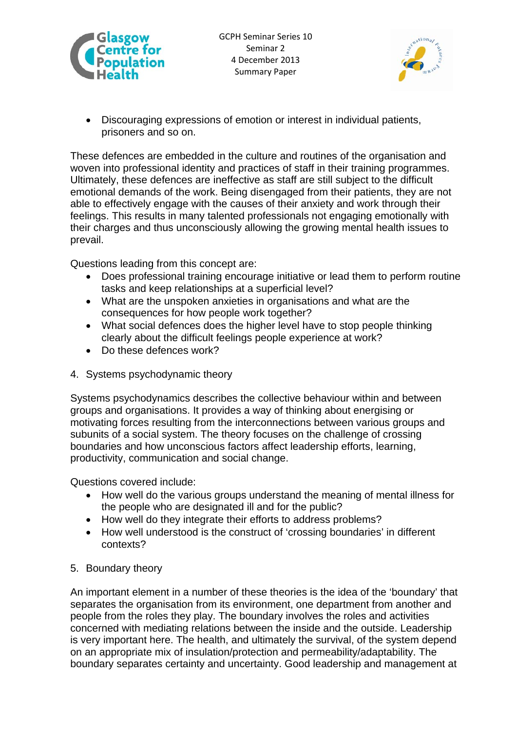



 Discouraging expressions of emotion or interest in individual patients, prisoners and so on.

These defences are embedded in the culture and routines of the organisation and woven into professional identity and practices of staff in their training programmes. Ultimately, these defences are ineffective as staff are still subject to the difficult emotional demands of the work. Being disengaged from their patients, they are not able to effectively engage with the causes of their anxiety and work through their feelings. This results in many talented professionals not engaging emotionally with their charges and thus unconsciously allowing the growing mental health issues to prevail.

Questions leading from this concept are:

- Does professional training encourage initiative or lead them to perform routine tasks and keep relationships at a superficial level?
- What are the unspoken anxieties in organisations and what are the consequences for how people work together?
- What social defences does the higher level have to stop people thinking clearly about the difficult feelings people experience at work?
- Do these defences work?
- 4. Systems psychodynamic theory

Systems psychodynamics describes the collective behaviour within and between groups and organisations. It provides a way of thinking about energising or motivating forces resulting from the interconnections between various groups and subunits of a social system. The theory focuses on the challenge of crossing boundaries and how unconscious factors affect leadership efforts, learning, productivity, communication and social change.

Questions covered include:

- How well do the various groups understand the meaning of mental illness for the people who are designated ill and for the public?
- How well do they integrate their efforts to address problems?
- How well understood is the construct of 'crossing boundaries' in different contexts?
- 5. Boundary theory

An important element in a number of these theories is the idea of the 'boundary' that separates the organisation from its environment, one department from another and people from the roles they play. The boundary involves the roles and activities concerned with mediating relations between the inside and the outside. Leadership is very important here. The health, and ultimately the survival, of the system depend on an appropriate mix of insulation/protection and permeability/adaptability. The boundary separates certainty and uncertainty. Good leadership and management at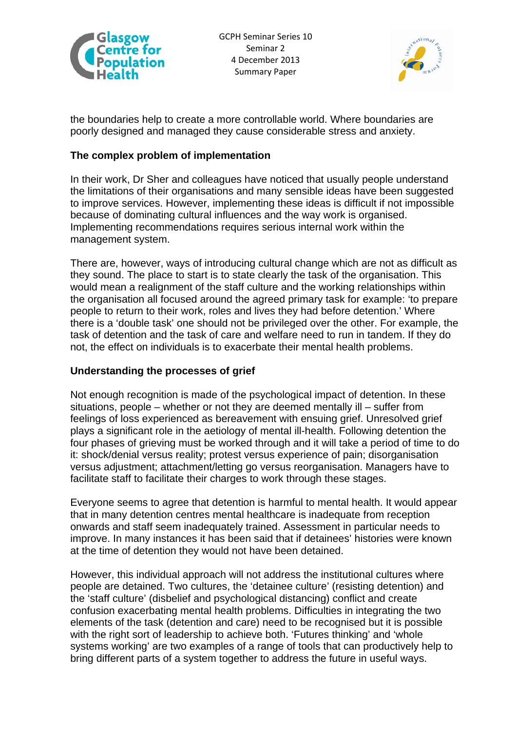



the boundaries help to create a more controllable world. Where boundaries are poorly designed and managed they cause considerable stress and anxiety.

## **The complex problem of implementation**

In their work, Dr Sher and colleagues have noticed that usually people understand the limitations of their organisations and many sensible ideas have been suggested to improve services. However, implementing these ideas is difficult if not impossible because of dominating cultural influences and the way work is organised. Implementing recommendations requires serious internal work within the management system.

There are, however, ways of introducing cultural change which are not as difficult as they sound. The place to start is to state clearly the task of the organisation. This would mean a realignment of the staff culture and the working relationships within the organisation all focused around the agreed primary task for example: 'to prepare people to return to their work, roles and lives they had before detention.' Where there is a 'double task' one should not be privileged over the other. For example, the task of detention and the task of care and welfare need to run in tandem. If they do not, the effect on individuals is to exacerbate their mental health problems.

#### **Understanding the processes of grief**

Not enough recognition is made of the psychological impact of detention. In these situations, people – whether or not they are deemed mentally ill – suffer from feelings of loss experienced as bereavement with ensuing grief. Unresolved grief plays a significant role in the aetiology of mental ill-health. Following detention the four phases of grieving must be worked through and it will take a period of time to do it: shock/denial versus reality; protest versus experience of pain; disorganisation versus adjustment; attachment/letting go versus reorganisation. Managers have to facilitate staff to facilitate their charges to work through these stages.

Everyone seems to agree that detention is harmful to mental health. It would appear that in many detention centres mental healthcare is inadequate from reception onwards and staff seem inadequately trained. Assessment in particular needs to improve. In many instances it has been said that if detainees' histories were known at the time of detention they would not have been detained.

However, this individual approach will not address the institutional cultures where people are detained. Two cultures, the 'detainee culture' (resisting detention) and the 'staff culture' (disbelief and psychological distancing) conflict and create confusion exacerbating mental health problems. Difficulties in integrating the two elements of the task (detention and care) need to be recognised but it is possible with the right sort of leadership to achieve both. 'Futures thinking' and 'whole systems working' are two examples of a range of tools that can productively help to bring different parts of a system together to address the future in useful ways.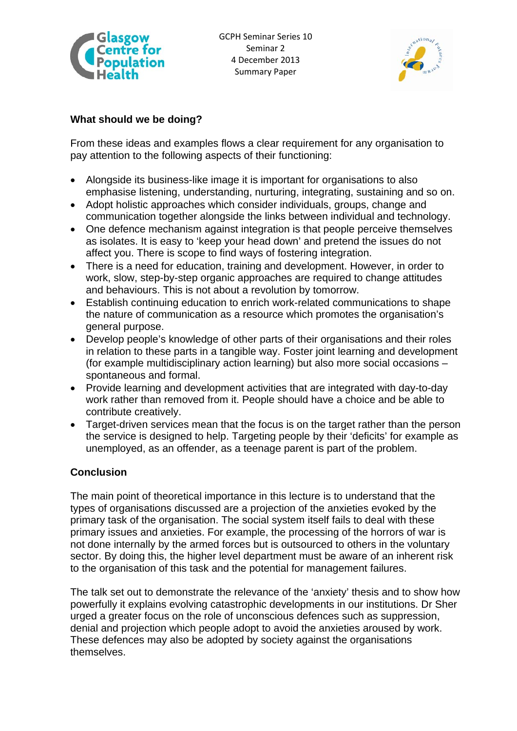



# **What should we be doing?**

From these ideas and examples flows a clear requirement for any organisation to pay attention to the following aspects of their functioning:

- Alongside its business-like image it is important for organisations to also emphasise listening, understanding, nurturing, integrating, sustaining and so on.
- Adopt holistic approaches which consider individuals, groups, change and communication together alongside the links between individual and technology.
- One defence mechanism against integration is that people perceive themselves as isolates. It is easy to 'keep your head down' and pretend the issues do not affect you. There is scope to find ways of fostering integration.
- There is a need for education, training and development. However, in order to work, slow, step-by-step organic approaches are required to change attitudes and behaviours. This is not about a revolution by tomorrow.
- Establish continuing education to enrich work-related communications to shape the nature of communication as a resource which promotes the organisation's general purpose.
- Develop people's knowledge of other parts of their organisations and their roles in relation to these parts in a tangible way. Foster joint learning and development (for example multidisciplinary action learning) but also more social occasions – spontaneous and formal.
- Provide learning and development activities that are integrated with day-to-day work rather than removed from it. People should have a choice and be able to contribute creatively.
- Target-driven services mean that the focus is on the target rather than the person the service is designed to help. Targeting people by their 'deficits' for example as unemployed, as an offender, as a teenage parent is part of the problem.

# **Conclusion**

The main point of theoretical importance in this lecture is to understand that the types of organisations discussed are a projection of the anxieties evoked by the primary task of the organisation. The social system itself fails to deal with these primary issues and anxieties. For example, the processing of the horrors of war is not done internally by the armed forces but is outsourced to others in the voluntary sector. By doing this, the higher level department must be aware of an inherent risk to the organisation of this task and the potential for management failures.

The talk set out to demonstrate the relevance of the 'anxiety' thesis and to show how powerfully it explains evolving catastrophic developments in our institutions. Dr Sher urged a greater focus on the role of unconscious defences such as suppression, denial and projection which people adopt to avoid the anxieties aroused by work. These defences may also be adopted by society against the organisations themselves.